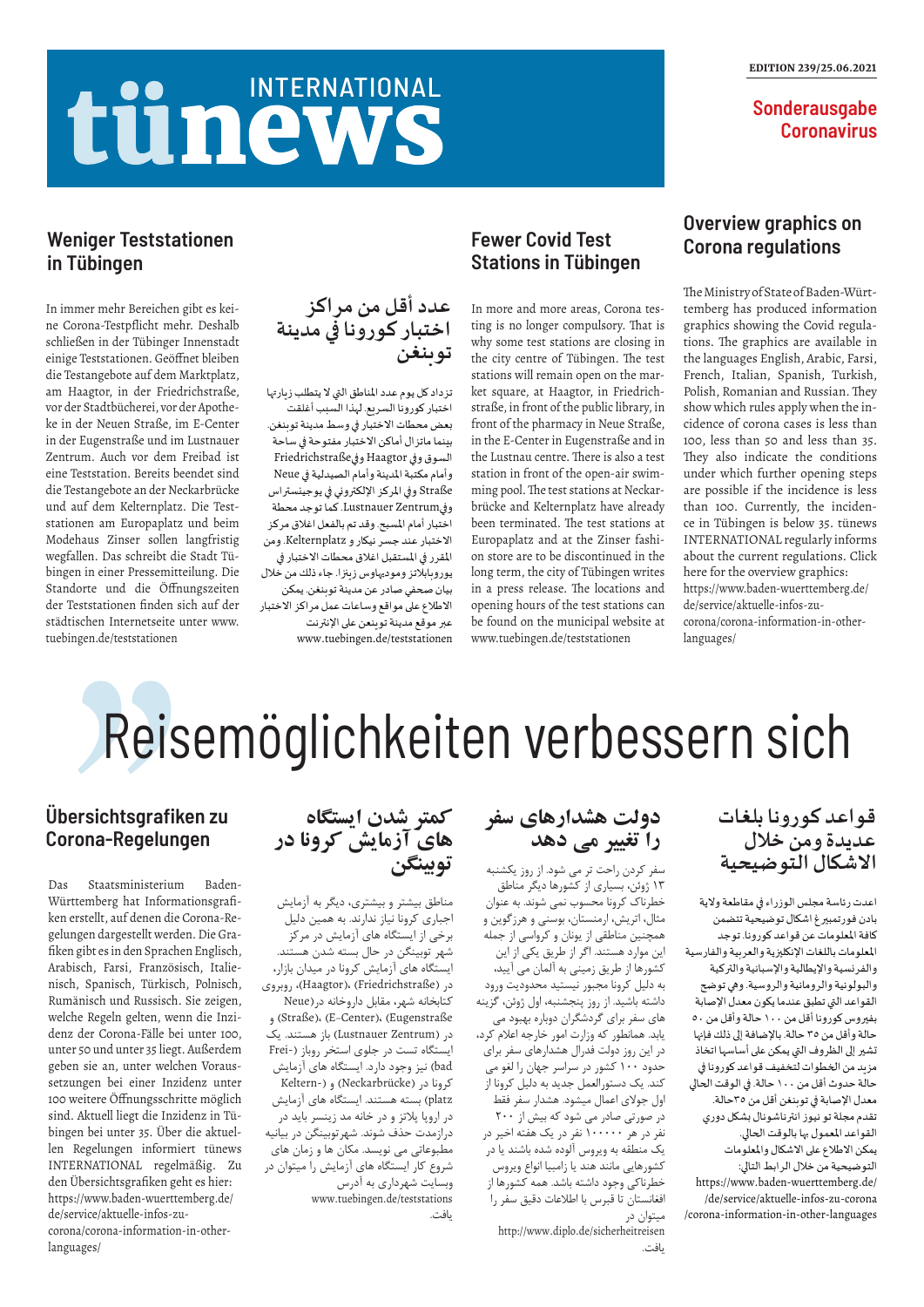## tünews INTERNATIONAL

#### EDITION 239/25.06.2021

**Sonderausgabe Coronavirus** 

# Reisemöglichkeiten verbessern sich

#### **قواعد كورونا بلغات عديدة ومن خالل االشكال التوضيحية**

اعدت رئاسة مجلس الوزراء في مقاطعة والية بادن فورتمبيرغ اشكال توضيحية تتضمن كافة املعلومات عن قواعد كورونا. توجد املعلومات باللغات اإلنكليزية والعربية والفارسية والفرنسية والإيطالية والإسبانية والتركية والبولونية والرومانية والروسية. وهي توضح القواعد التي تطبق عندما يكون معدل اإلصابة بفيروس كورونا أقل من ١٠٠ حالة وأقل من ٥٠ حالة وأقل من ٣٥ حالة. باإلضافة إلى ذلك فإنها تشير إلى الظروف التي يمكن على أساسها اتخاذ مزيد من الخطوات لتخفيف قواعد كورونا في حالة حدوث أقل من ١٠٠ حالة. في الوقت الحالي معدل اإلصابة في توبنغن أقل من ٣٥حالة. تقدم مجلة تو نيوز انترناشونال بشكل دوري القواعد املعمول بها بالوقت الحالي. يمكن الاطلاع على الاشكال والمعلومات التوضيحية من خالل الرابط التالي: https://www.baden-wuerttemberg.de/ /de/service/aktuelle-infos-zu-corona /corona-information-in-other-languages

کمتر ش*د*ن ایستگاه<br>های آزمایش کرونا در **توبینگن**

**دولت هشدارهای سفر را تغییر می دهد**

سفر کردن راحت تر می شود. از روز یکشنبه ۱۳ ژوئن، بسیاری از کشورها دیگر مناطق خطرناک کرونا محسوب نمی شوند. به عنوان مثال، اتریش، ارمنستان، بوسنی و هرزگوین و همچنین مناطقی از یونان و کرواسی از جمله این موارد هستند. اگر از طریق یکی از این کشورها از طریق زمینی به آلمان می آیید، به دلیل کرونا مجبور نیستید محدودیت ورود داشته باشید. از روز پنجشنبه، اول ژوئن، گزینه های سفر برای گردشگران دوباره بهبود می یابد. همانطور که وزارت امور خارجه اعالم کرد، در این روز دولت فدرال هشدارهای سفر برای حدود ۱۰۰ کشور در سراسر جهان را لغو می کند. یک دستورالعمل جدید به دلیل کرونا از اول جوالی اعمال میشود. هشدار سفر فقط در صورتی صادر می شود که بیش از ۲۰۰ نفر در هر ۱۰۰۰۰۰ نفر در یک هفته اخیر در یک منطقه به ویروس آلوده شده باشند یا در کشورهایی مانند هند یا زامبیا انواع ویروس خطرناکی وجود داشته باشد. همه کشورها از افغانستان تا قبرس با اطالعات دقیق سفر را میتوان در http://www.diplo.de/sicherheitreisen

یافت.

مناطق بیشتر و بیشتری، دیگر به آزمایش اجباری کرونا نیاز ندارند. به همین دلیل برخی از ایستگاه های آزمایش در مرکز شهر توبینگن در حال بسته شدن هستند. ایستگاه های آزمایش کرونا در میدان بازار، در )Friedrichstraße (،)Haagtor)، روبروی کتابخانه شهر، مقابل داروخانه در)Neue و( Straße)، (E-Center)، (Eugenstraße در )Zentrum Lustnauer )باز هستند. یک ایستگاه تست در جلوی استخر روباز (-Frei bad )نیز وجود دارد. ایستگاه های آزمایش کرونا در (Neckarbrücke) و (-Keltern platz )بسته هستند. ایستگاه های آزمایش در اروپا پالتز و در خانه مد زينسر بايد در درازمدت حذف شوند. شهرتوبینگن در بیانیه مطبوعاتی می نویسد. مکان ها و زمان های شروع کار ایستگاه های آزمایش را میتوان در وبسایت شهرداری به آدرس www.tuebingen.de/teststations یافت.

#### **Übersichtsgrafiken zu Corona-Regelungen**

Das Staatsministerium Baden-Württemberg hat Informationsgrafiken erstellt, auf denen die Corona-Regelungen dargestellt werden. Die Grafiken gibt es in den Sprachen Englisch, Arabisch, Farsi, Französisch, Italienisch, Spanisch, Türkisch, Polnisch, Rumänisch und Russisch. Sie zeigen, welche Regeln gelten, wenn die Inzidenz der Corona-Fälle bei unter 100, unter 50 und unter 35 liegt. Außerdem geben sie an, unter welchen Voraussetzungen bei einer Inzidenz unter 100 weitere Öffnungsschritte möglich sind. Aktuell liegt die Inzidenz in Tübingen bei unter 35. Über die aktuellen Regelungen informiert tünews INTERNATIONAL regelmäßig. Zu den Übersichtsgrafiken geht es hier: https://www.baden-wuerttemberg.de/ de/service/aktuelle-infos-zucorona/corona-information-in-otherlanguages/

تزداد كل يوم عدد المناطق التي لا يتطلب زيارتها اختبار كورونا السريع. لهذا السبب أغلقت بعض محطات االختبار في وسط مدينة توبنغن. بينما ماتزال أماكن االختبار مفتوحة في ساحة السوق وفي Haagtor وفيFriedrichstraße وأمام مكتبة املدينة وأمام الصيدلية في Neue Straße وفي املركز اإللكتروني في يوجينستراس وفيZentrum Lustnauer. كما توجد محطة اختبار أمام املسبح. وقد تم بالفعل اغالق مركز االختبار عند جسر نيكار و Kelternplatz. ومن المقرر في المستقبل اغلاق محطات الاختبار في يوروبابالتز وموديهاوس زينزا. جاء ذلك من خالل بيان صحفي صادر عن مدينة توبنغن. يمكن االطالع على مواقع وساعات عمل مراكز االختبار عبر موقع مدينة توينعن على الإنترنت www.tuebingen.de/teststationen

#### **Weniger Teststationen in Tübingen**

In immer mehr Bereichen gibt es keine Corona-Testpflicht mehr. Deshalb schließen in der Tübinger Innenstadt einige Teststationen. Geöffnet bleiben die Testangebote auf dem Marktplatz, am Haagtor, in der Friedrichstraße, vor der Stadtbücherei, vor der Apotheke in der Neuen Straße, im E-Center in der Eugenstraße und im Lustnauer Zentrum. Auch vor dem Freibad ist eine Teststation. Bereits beendet sind die Testangebote an der Neckarbrücke und auf dem Kelternplatz. Die Teststationen am Europaplatz und beim Modehaus Zinser sollen langfristig wegfallen. Das schreibt die Stadt Tübingen in einer Pressemitteilung. Die Standorte und die Öffnungszeiten der Teststationen finden sich auf der städtischen Internetseite unter www. tuebingen.de/teststationen

#### **Overview graphics on Corona regulations**

The Ministry of State of Baden-Württemberg has produced information graphics showing the Covid regulations. The graphics are available in the languages English, Arabic, Farsi, French, Italian, Spanish, Turkish, Polish, Romanian and Russian. They show which rules apply when the incidence of corona cases is less than 100, less than 50 and less than 35. They also indicate the conditions under which further opening steps are possible if the incidence is less than 100. Currently, the incidence in Tübingen is below 35. tünews INTERNATIONAL regularly informs about the current regulations. Click here for the overview graphics: https://www.baden-wuerttemberg.de/ de/service/aktuelle-infos-zucorona/corona-information-in-otherlanguages/

## **Fewer Covid Test Stations in Tübingen**

In more and more areas, Corona testing is no longer compulsory. That is why some test stations are closing in the city centre of Tübingen. The test stations will remain open on the market square, at Haagtor, in Friedrichstraße, in front of the public library, in front of the pharmacy in Neue Straße, in the E-Center in Eugenstraße and in the Lustnau centre. There is also a test station in front of the open-air swimming pool. The test stations at Neckarbrücke and Kelternplatz have already been terminated. The test stations at Europaplatz and at the Zinser fashion store are to be discontinued in the long term, the city of Tübingen writes in a press release. The locations and opening hours of the test stations can be found on the municipal website at www.tuebingen.de/teststationen

#### **عدد أقل من مراكز اختبار كورونا في مدينة توبنغن**